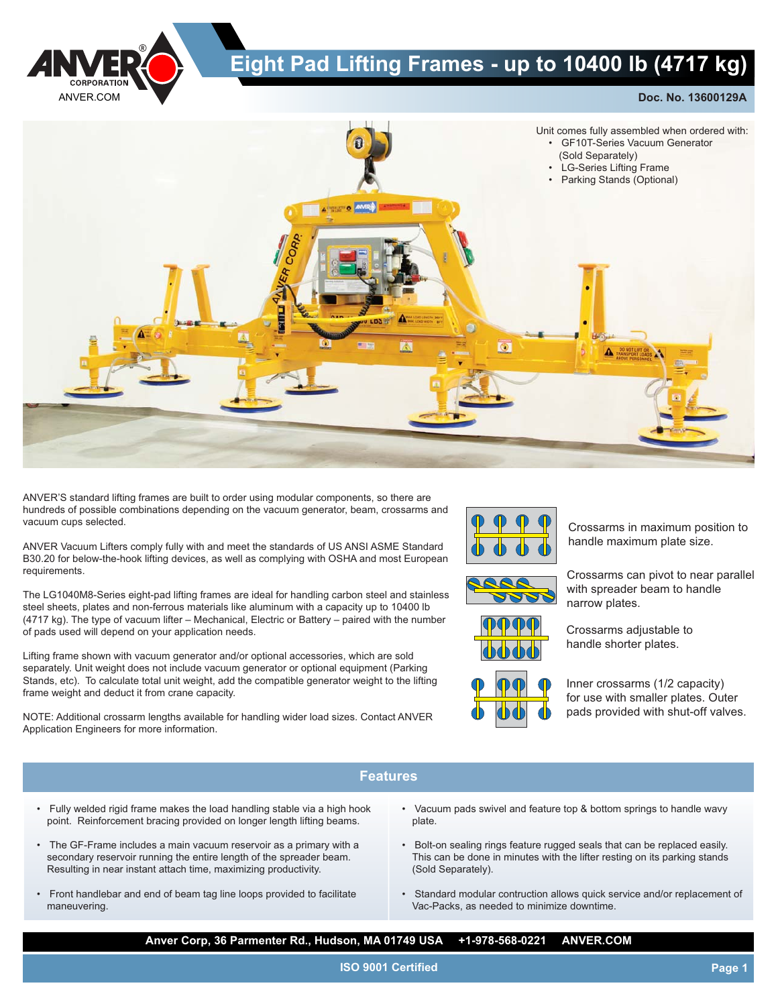

## **Eight Pad Lifting Frames - up to 10400 lb (4717 kg)**

**Doc. No. 13600129A**



ANVER'S standard lifting frames are built to order using modular components, so there are hundreds of possible combinations depending on the vacuum generator, beam, crossarms and vacuum cups selected.

ANVER Vacuum Lifters comply fully with and meet the standards of US ANSI ASME Standard B30.20 for below-the-hook lifting devices, as well as complying with OSHA and most European requirements.

The LG1040M8-Series eight-pad lifting frames are ideal for handling carbon steel and stainless steel sheets, plates and non-ferrous materials like aluminum with a capacity up to 10400 lb (4717 kg). The type of vacuum lifter – Mechanical, Electric or Battery – paired with the number of pads used will depend on your application needs.

Lifting frame shown with vacuum generator and/or optional accessories, which are sold separately. Unit weight does not include vacuum generator or optional equipment (Parking Stands, etc). To calculate total unit weight, add the compatible generator weight to the lifting frame weight and deduct it from crane capacity.

NOTE: Additional crossarm lengths available for handling wider load sizes. Contact ANVER Application Engineers for more information.



Crossarms in maximum position to handle maximum plate size.

Crossarms can pivot to near parallel with spreader beam to handle narrow plates.

Crossarms adjustable to handle shorter plates.



Inner crossarms (1/2 capacity) for use with smaller plates. Outer pads provided with shut-off valves.

## **Features**

- Fully welded rigid frame makes the load handling stable via a high hook point. Reinforcement bracing provided on longer length lifting beams.
- The GF-Frame includes a main vacuum reservoir as a primary with a secondary reservoir running the entire length of the spreader beam. Resulting in near instant attach time, maximizing productivity.
- Front handlebar and end of beam tag line loops provided to facilitate maneuvering.
- Vacuum pads swivel and feature top & bottom springs to handle wavy plate.
- Bolt-on sealing rings feature rugged seals that can be replaced easily. This can be done in minutes with the lifter resting on its parking stands (Sold Separately).
- Standard modular contruction allows quick service and/or replacement of Vac-Packs, as needed to minimize downtime.

**Anver Corp, 36 Parmenter Rd., Hudson, MA 01749 USA +1-978-568-0221 ANVER.COM**

**ISO 9001 Certified**